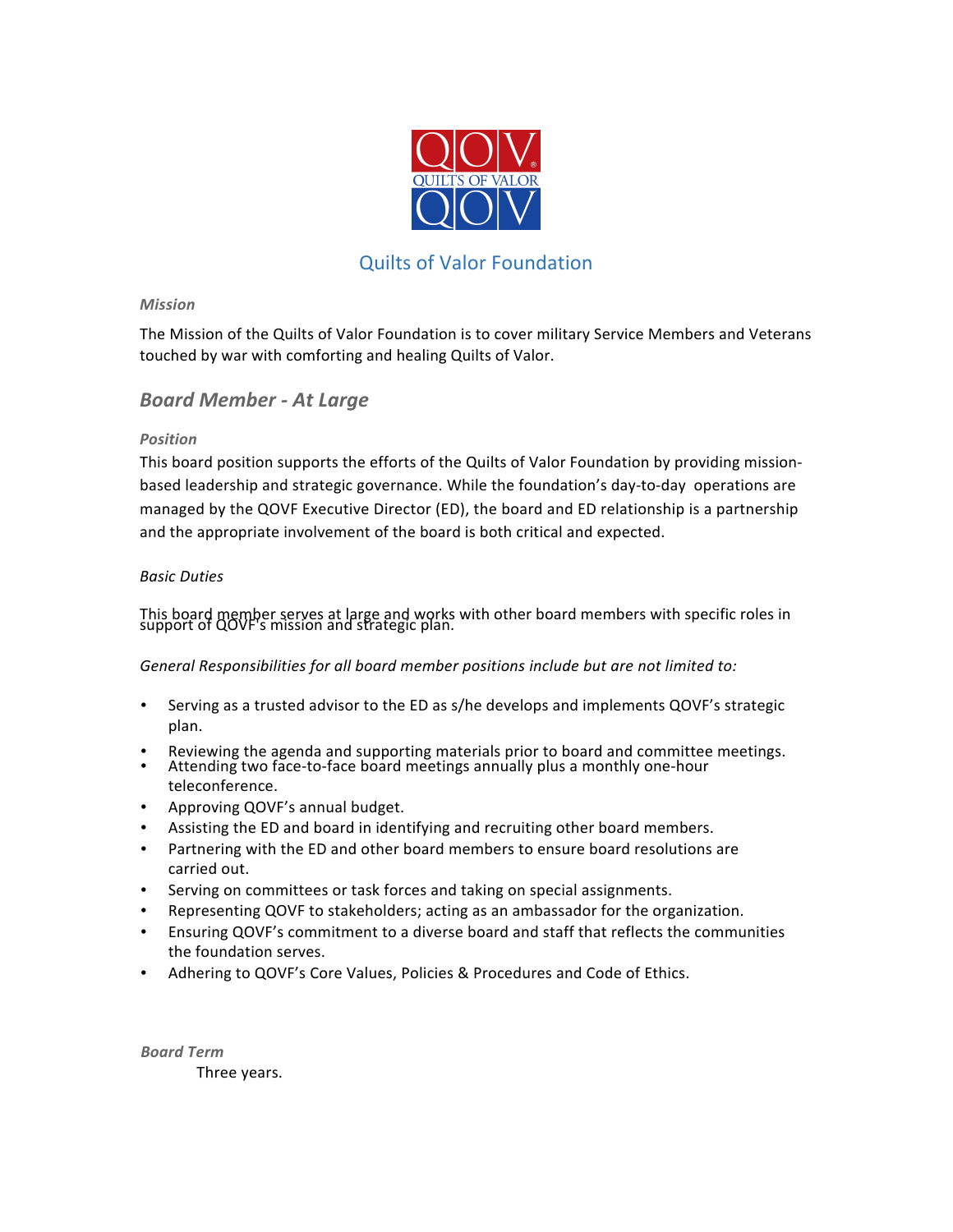

# Quilts of Valor Foundation

#### *Mission*

The Mission of the Quilts of Valor Foundation is to cover military Service Members and Veterans touched by war with comforting and healing Quilts of Valor.

## *Board Member - At Large*

#### *Position*

This board position supports the efforts of the Quilts of Valor Foundation by providing missionbased leadership and strategic governance. While the foundation's day-to-day operations are managed by the QOVF Executive Director (ED), the board and ED relationship is a partnership and the appropriate involvement of the board is both critical and expected.

### *Basic Duties*

This board member serves at large and works with other board members with specific roles in support of QOVF's mission and strategic plan.

General Responsibilities for all board member positions include but are not limited to:

- Serving as a trusted advisor to the ED as s/he develops and implements QOVF's strategic plan.
- Reviewing the agenda and supporting materials prior to board and committee meetings.
- Attending two face-to-face board meetings annually plus a monthly one-hour teleconference.
- Approving QOVF's annual budget.
- Assisting the ED and board in identifying and recruiting other board members.
- Partnering with the ED and other board members to ensure board resolutions are carried out.
- Serving on committees or task forces and taking on special assignments.
- Representing QOVF to stakeholders; acting as an ambassador for the organization.
- Ensuring QOVF's commitment to a diverse board and staff that reflects the communities the foundation serves.
- Adhering to QOVF's Core Values, Policies & Procedures and Code of Ethics.

*Board Term* Three years.